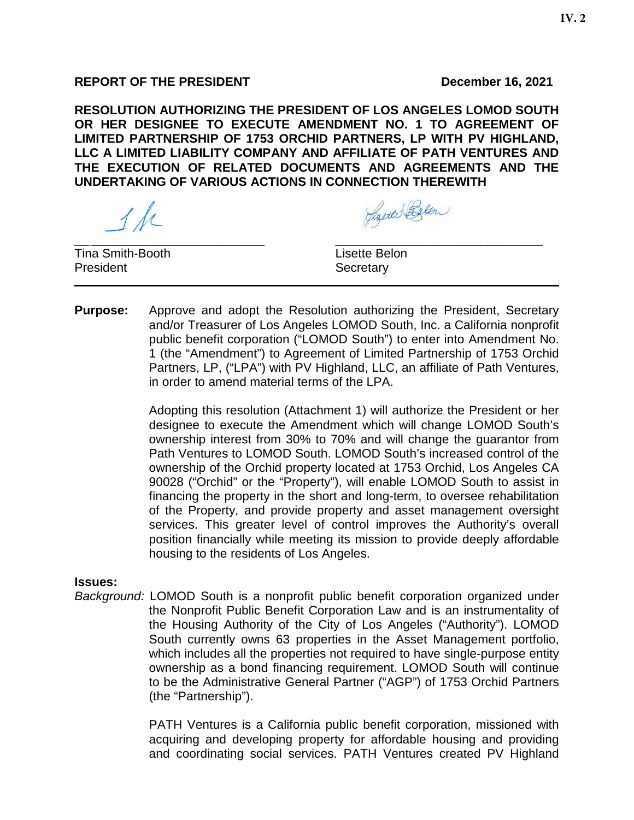**RESOLUTION AUTHORIZING THE PRESIDENT OF LOS ANGELES LOMOD SOUTH OR HER DESIGNEE TO EXECUTE AMENDMENT NO. 1 TO AGREEMENT OF LIMITED PARTNERSHIP OF 1753 ORCHID PARTNERS, LP WITH PV HIGHLAND, LLC A LIMITED LIABILITY COMPANY AND AFFILIATE OF PATH VENTURES AND THE EXECUTION OF RELATED DOCUMENTS AND AGREEMENTS AND THE UNDERTAKING OF VARIOUS ACTIONS IN CONNECTION THEREWITH**

 $\ell$  de

Lizerto Blow

 $\overline{\phantom{a}}$  , and the contribution of the contribution of  $\overline{\phantom{a}}$  , and  $\overline{\phantom{a}}$  , and  $\overline{\phantom{a}}$  , and  $\overline{\phantom{a}}$  , and  $\overline{\phantom{a}}$  , and  $\overline{\phantom{a}}$  , and  $\overline{\phantom{a}}$  , and  $\overline{\phantom{a}}$  , and  $\overline{\phantom{a}}$  , and **Tina Smith-Booth Lisette Belon** President **Secretary** 

**Purpose:** Approve and adopt the Resolution authorizing the President, Secretary and/or Treasurer of Los Angeles LOMOD South, Inc. a California nonprofit public benefit corporation ("LOMOD South") to enter into Amendment No. 1 (the "Amendment") to Agreement of Limited Partnership of 1753 Orchid Partners, LP, ("LPA") with PV Highland, LLC, an affiliate of Path Ventures, in order to amend material terms of the LPA.

> Adopting this resolution (Attachment 1) will authorize the President or her designee to execute the Amendment which will change LOMOD South's ownership interest from 30% to 70% and will change the guarantor from Path Ventures to LOMOD South. LOMOD South's increased control of the ownership of the Orchid property located at 1753 Orchid, Los Angeles CA 90028 ("Orchid" or the "Property"), will enable LOMOD South to assist in financing the property in the short and long-term, to oversee rehabilitation of the Property, and provide property and asset management oversight services. This greater level of control improves the Authority's overall position financially while meeting its mission to provide deeply affordable housing to the residents of Los Angeles.

#### **Issues:**

*Background:* LOMOD South is a nonprofit public benefit corporation organized under the Nonprofit Public Benefit Corporation Law and is an instrumentality of the Housing Authority of the City of Los Angeles ("Authority"). LOMOD South currently owns 63 properties in the Asset Management portfolio, which includes all the properties not required to have single-purpose entity ownership as a bond financing requirement. LOMOD South will continue to be the Administrative General Partner ("AGP") of 1753 Orchid Partners (the "Partnership").

> PATH Ventures is a California public benefit corporation, missioned with acquiring and developing property for affordable housing and providing and coordinating social services. PATH Ventures created PV Highland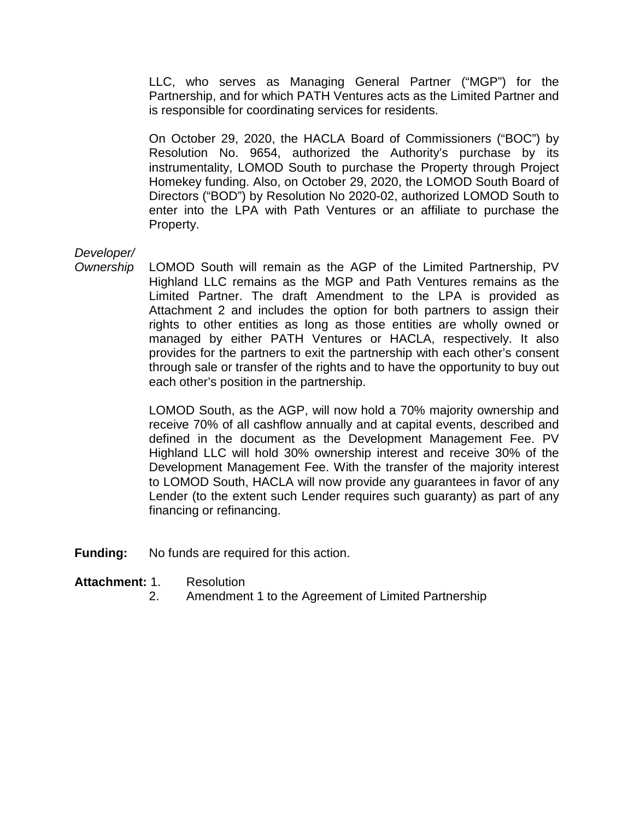LLC, who serves as Managing General Partner ("MGP") for the Partnership, and for which PATH Ventures acts as the Limited Partner and is responsible for coordinating services for residents.

On October 29, 2020, the HACLA Board of Commissioners ("BOC") by Resolution No. 9654, authorized the Authority's purchase by its instrumentality, LOMOD South to purchase the Property through Project Homekey funding. Also, on October 29, 2020, the LOMOD South Board of Directors ("BOD") by Resolution No 2020-02, authorized LOMOD South to enter into the LPA with Path Ventures or an affiliate to purchase the Property.

## *Developer/*

*Ownership* LOMOD South will remain as the AGP of the Limited Partnership, PV Highland LLC remains as the MGP and Path Ventures remains as the Limited Partner. The draft Amendment to the LPA is provided as Attachment 2 and includes the option for both partners to assign their rights to other entities as long as those entities are wholly owned or managed by either PATH Ventures or HACLA, respectively. It also provides for the partners to exit the partnership with each other's consent through sale or transfer of the rights and to have the opportunity to buy out each other's position in the partnership.

> LOMOD South, as the AGP, will now hold a 70% majority ownership and receive 70% of all cashflow annually and at capital events, described and defined in the document as the Development Management Fee. PV Highland LLC will hold 30% ownership interest and receive 30% of the Development Management Fee. With the transfer of the majority interest to LOMOD South, HACLA will now provide any guarantees in favor of any Lender (to the extent such Lender requires such guaranty) as part of any financing or refinancing.

**Funding:** No funds are required for this action.

## **Attachment:** 1. Resolution

2. Amendment 1 to the Agreement of Limited Partnership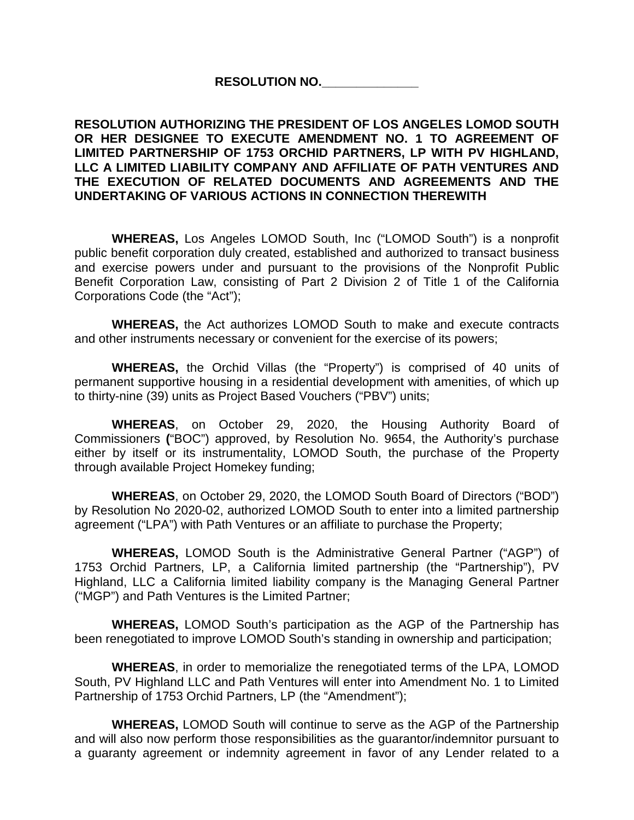#### **RESOLUTION NO.\_\_\_\_\_\_\_\_\_\_\_\_\_\_**

#### **RESOLUTION AUTHORIZING THE PRESIDENT OF LOS ANGELES LOMOD SOUTH OR HER DESIGNEE TO EXECUTE AMENDMENT NO. 1 TO AGREEMENT OF LIMITED PARTNERSHIP OF 1753 ORCHID PARTNERS, LP WITH PV HIGHLAND, LLC A LIMITED LIABILITY COMPANY AND AFFILIATE OF PATH VENTURES AND THE EXECUTION OF RELATED DOCUMENTS AND AGREEMENTS AND THE UNDERTAKING OF VARIOUS ACTIONS IN CONNECTION THEREWITH**

**WHEREAS,** Los Angeles LOMOD South, Inc ("LOMOD South") is a nonprofit public benefit corporation duly created, established and authorized to transact business and exercise powers under and pursuant to the provisions of the Nonprofit Public Benefit Corporation Law, consisting of Part 2 Division 2 of Title 1 of the California Corporations Code (the "Act");

**WHEREAS,** the Act authorizes LOMOD South to make and execute contracts and other instruments necessary or convenient for the exercise of its powers;

**WHEREAS,** the Orchid Villas (the "Property") is comprised of 40 units of permanent supportive housing in a residential development with amenities, of which up to thirty-nine (39) units as Project Based Vouchers ("PBV") units;

**WHEREAS**, on October 29, 2020, the Housing Authority Board of Commissioners **(**"BOC") approved, by Resolution No. 9654, the Authority's purchase either by itself or its instrumentality, LOMOD South, the purchase of the Property through available Project Homekey funding;

**WHEREAS**, on October 29, 2020, the LOMOD South Board of Directors ("BOD") by Resolution No 2020-02, authorized LOMOD South to enter into a limited partnership agreement ("LPA") with Path Ventures or an affiliate to purchase the Property;

**WHEREAS,** LOMOD South is the Administrative General Partner ("AGP") of 1753 Orchid Partners, LP, a California limited partnership (the "Partnership"), PV Highland, LLC a California limited liability company is the Managing General Partner ("MGP") and Path Ventures is the Limited Partner;

**WHEREAS,** LOMOD South's participation as the AGP of the Partnership has been renegotiated to improve LOMOD South's standing in ownership and participation;

**WHEREAS**, in order to memorialize the renegotiated terms of the LPA, LOMOD South, PV Highland LLC and Path Ventures will enter into Amendment No. 1 to Limited Partnership of 1753 Orchid Partners, LP (the "Amendment");

**WHEREAS,** LOMOD South will continue to serve as the AGP of the Partnership and will also now perform those responsibilities as the guarantor/indemnitor pursuant to a guaranty agreement or indemnity agreement in favor of any Lender related to a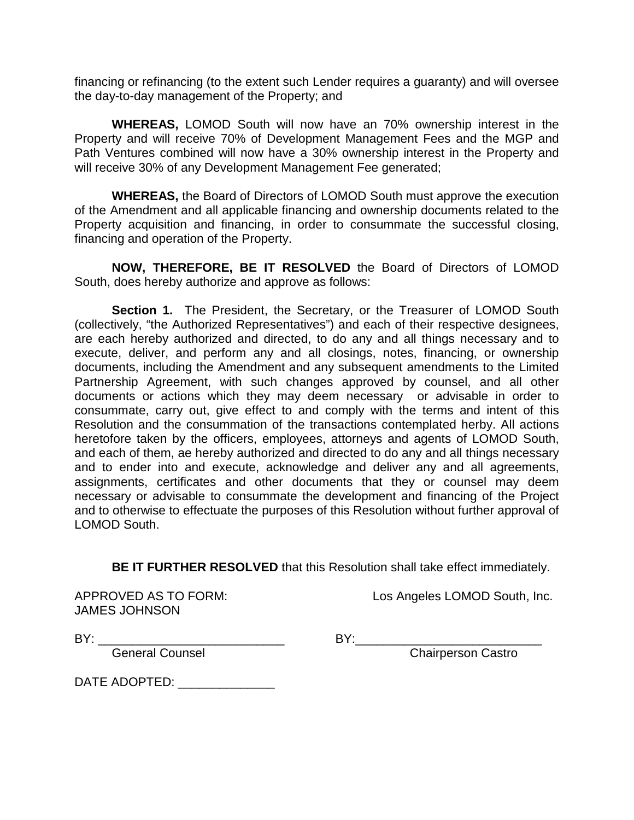financing or refinancing (to the extent such Lender requires a guaranty) and will oversee the day-to-day management of the Property; and

**WHEREAS,** LOMOD South will now have an 70% ownership interest in the Property and will receive 70% of Development Management Fees and the MGP and Path Ventures combined will now have a 30% ownership interest in the Property and will receive 30% of any Development Management Fee generated;

**WHEREAS,** the Board of Directors of LOMOD South must approve the execution of the Amendment and all applicable financing and ownership documents related to the Property acquisition and financing, in order to consummate the successful closing, financing and operation of the Property.

**NOW, THEREFORE, BE IT RESOLVED** the Board of Directors of LOMOD South, does hereby authorize and approve as follows:

**Section 1.** The President, the Secretary, or the Treasurer of LOMOD South (collectively, "the Authorized Representatives") and each of their respective designees, are each hereby authorized and directed, to do any and all things necessary and to execute, deliver, and perform any and all closings, notes, financing, or ownership documents, including the Amendment and any subsequent amendments to the Limited Partnership Agreement, with such changes approved by counsel, and all other documents or actions which they may deem necessary or advisable in order to consummate, carry out, give effect to and comply with the terms and intent of this Resolution and the consummation of the transactions contemplated herby. All actions heretofore taken by the officers, employees, attorneys and agents of LOMOD South, and each of them, ae hereby authorized and directed to do any and all things necessary and to ender into and execute, acknowledge and deliver any and all agreements, assignments, certificates and other documents that they or counsel may deem necessary or advisable to consummate the development and financing of the Project and to otherwise to effectuate the purposes of this Resolution without further approval of LOMOD South.

**BE IT FURTHER RESOLVED** that this Resolution shall take effect immediately.

JAMES JOHNSON

APPROVED AS TO FORM: Los Angeles LOMOD South, Inc.

BY: \_\_\_\_\_\_\_\_\_\_\_\_\_\_\_\_\_\_\_\_\_\_\_\_\_\_\_ BY:\_\_\_\_\_\_\_\_\_\_\_\_\_\_\_\_\_\_\_\_\_\_\_\_\_\_\_

eneral Counsel **Counsel Counsel Counsel** BY: Chairperson Castro

DATE ADOPTED: \_\_\_\_\_\_\_\_\_\_\_\_\_\_\_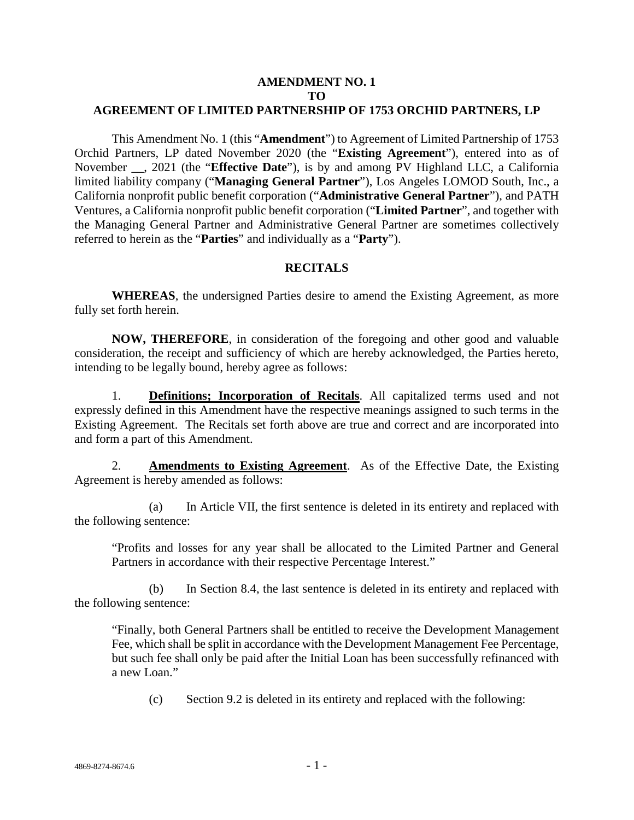#### **AMENDMENT NO. 1 TO AGREEMENT OF LIMITED PARTNERSHIP OF 1753 ORCHID PARTNERS, LP**

This Amendment No. 1 (this "**Amendment**") to Agreement of Limited Partnership of 1753 Orchid Partners, LP dated November 2020 (the "**Existing Agreement**"), entered into as of November \_\_, 2021 (the "**Effective Date**"), is by and among PV Highland LLC, a California limited liability company ("**Managing General Partner**"), Los Angeles LOMOD South, Inc., a California nonprofit public benefit corporation ("**Administrative General Partner**"), and PATH Ventures, a California nonprofit public benefit corporation ("**Limited Partner**", and together with the Managing General Partner and Administrative General Partner are sometimes collectively referred to herein as the "**Parties**" and individually as a "**Party**").

#### **RECITALS**

**WHEREAS**, the undersigned Parties desire to amend the Existing Agreement, as more fully set forth herein.

**NOW, THEREFORE**, in consideration of the foregoing and other good and valuable consideration, the receipt and sufficiency of which are hereby acknowledged, the Parties hereto, intending to be legally bound, hereby agree as follows:

1. **Definitions; Incorporation of Recitals**. All capitalized terms used and not expressly defined in this Amendment have the respective meanings assigned to such terms in the Existing Agreement. The Recitals set forth above are true and correct and are incorporated into and form a part of this Amendment.

2. **Amendments to Existing Agreement**. As of the Effective Date, the Existing Agreement is hereby amended as follows:

(a) In Article VII, the first sentence is deleted in its entirety and replaced with the following sentence:

"Profits and losses for any year shall be allocated to the Limited Partner and General Partners in accordance with their respective Percentage Interest."

(b) In Section 8.4, the last sentence is deleted in its entirety and replaced with the following sentence:

"Finally, both General Partners shall be entitled to receive the Development Management Fee, which shall be split in accordance with the Development Management Fee Percentage, but such fee shall only be paid after the Initial Loan has been successfully refinanced with a new Loan."

(c) Section 9.2 is deleted in its entirety and replaced with the following: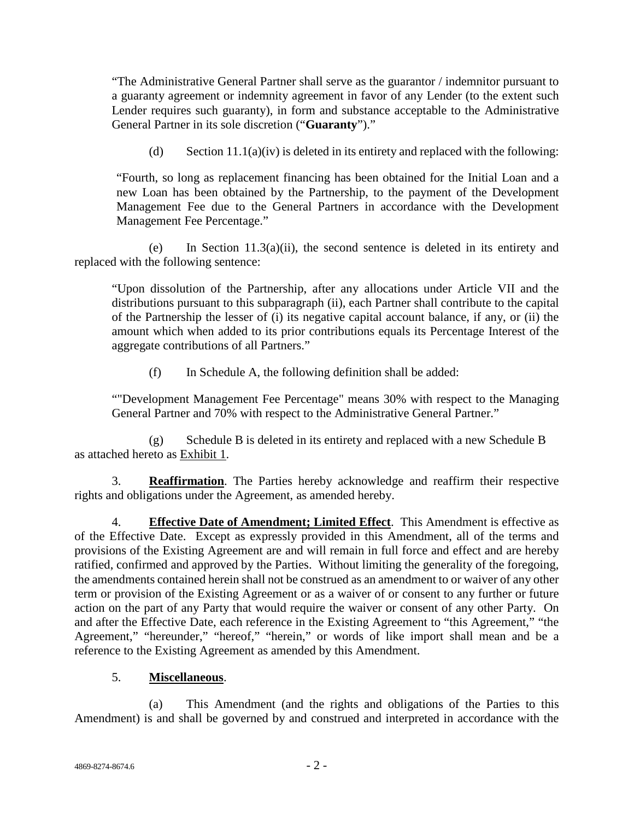"The Administrative General Partner shall serve as the guarantor / indemnitor pursuant to a guaranty agreement or indemnity agreement in favor of any Lender (to the extent such Lender requires such guaranty), in form and substance acceptable to the Administrative General Partner in its sole discretion ("**Guaranty**")."

(d) Section  $11.1(a)(iv)$  is deleted in its entirety and replaced with the following:

"Fourth, so long as replacement financing has been obtained for the Initial Loan and a new Loan has been obtained by the Partnership, to the payment of the Development Management Fee due to the General Partners in accordance with the Development Management Fee Percentage."

(e) In Section 11.3(a)(ii), the second sentence is deleted in its entirety and replaced with the following sentence:

"Upon dissolution of the Partnership, after any allocations under Article VII and the distributions pursuant to this subparagraph (ii), each Partner shall contribute to the capital of the Partnership the lesser of (i) its negative capital account balance, if any, or (ii) the amount which when added to its prior contributions equals its Percentage Interest of the aggregate contributions of all Partners."

(f) In Schedule A, the following definition shall be added:

""Development Management Fee Percentage" means 30% with respect to the Managing General Partner and 70% with respect to the Administrative General Partner."

(g) Schedule B is deleted in its entirety and replaced with a new Schedule B as attached hereto as Exhibit 1.

3. **Reaffirmation**. The Parties hereby acknowledge and reaffirm their respective rights and obligations under the Agreement, as amended hereby.

4. **Effective Date of Amendment; Limited Effect**. This Amendment is effective as of the Effective Date. Except as expressly provided in this Amendment, all of the terms and provisions of the Existing Agreement are and will remain in full force and effect and are hereby ratified, confirmed and approved by the Parties. Without limiting the generality of the foregoing, the amendments contained herein shall not be construed as an amendment to or waiver of any other term or provision of the Existing Agreement or as a waiver of or consent to any further or future action on the part of any Party that would require the waiver or consent of any other Party. On and after the Effective Date, each reference in the Existing Agreement to "this Agreement," "the Agreement," "hereunder," "hereof," "herein," or words of like import shall mean and be a reference to the Existing Agreement as amended by this Amendment.

## 5. **Miscellaneous**.

(a) This Amendment (and the rights and obligations of the Parties to this Amendment) is and shall be governed by and construed and interpreted in accordance with the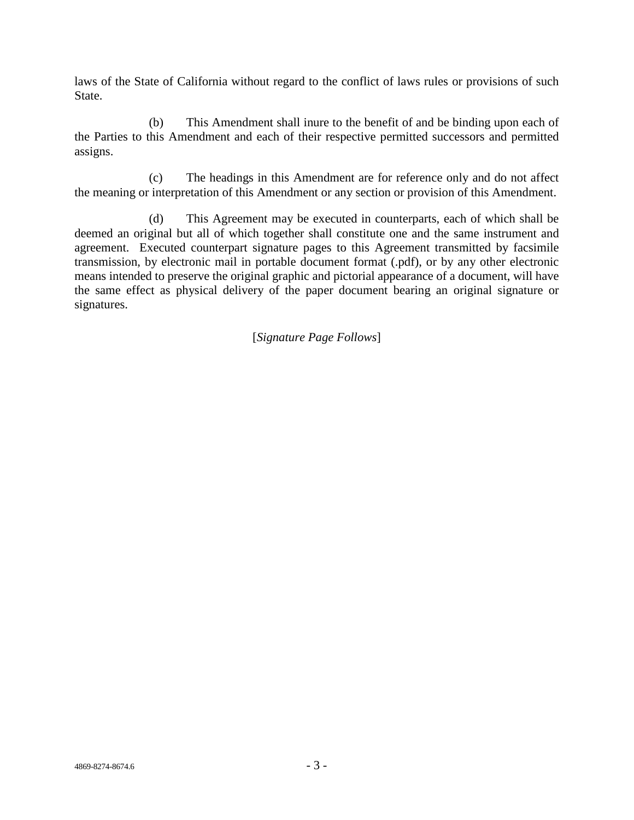laws of the State of California without regard to the conflict of laws rules or provisions of such State.

(b) This Amendment shall inure to the benefit of and be binding upon each of the Parties to this Amendment and each of their respective permitted successors and permitted assigns.

(c) The headings in this Amendment are for reference only and do not affect the meaning or interpretation of this Amendment or any section or provision of this Amendment.

(d) This Agreement may be executed in counterparts, each of which shall be deemed an original but all of which together shall constitute one and the same instrument and agreement. Executed counterpart signature pages to this Agreement transmitted by facsimile transmission, by electronic mail in portable document format (.pdf), or by any other electronic means intended to preserve the original graphic and pictorial appearance of a document, will have the same effect as physical delivery of the paper document bearing an original signature or signatures.

[*Signature Page Follows*]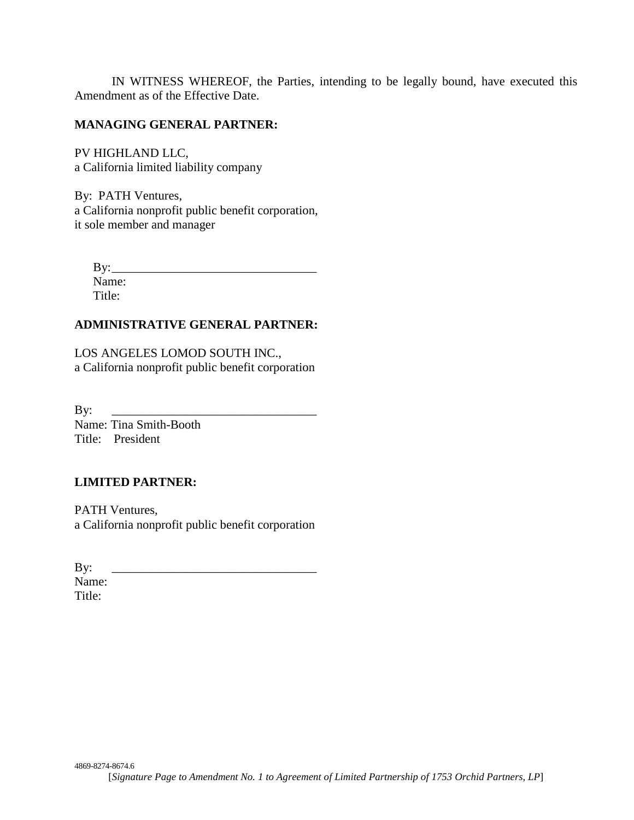IN WITNESS WHEREOF, the Parties, intending to be legally bound, have executed this Amendment as of the Effective Date.

#### **MANAGING GENERAL PARTNER:**

PV HIGHLAND LLC, a California limited liability company

By: PATH Ventures, a California nonprofit public benefit corporation, it sole member and manager

By: \_\_\_\_\_\_\_\_\_\_\_\_\_\_\_\_\_\_\_\_\_\_\_\_\_\_\_\_\_\_\_\_\_ Name: Title:

# **ADMINISTRATIVE GENERAL PARTNER:**

LOS ANGELES LOMOD SOUTH INC., a California nonprofit public benefit corporation

By: \_\_\_\_\_\_\_\_\_\_\_\_\_\_\_\_\_\_\_\_\_\_\_\_\_\_\_\_\_\_\_\_\_ Name: Tina Smith-Booth Title: President

## **LIMITED PARTNER:**

PATH Ventures, a California nonprofit public benefit corporation

By: \_\_\_\_\_\_\_\_\_\_\_\_\_\_\_\_\_\_\_\_\_\_\_\_\_\_\_\_\_\_\_\_\_ Name:

Title: